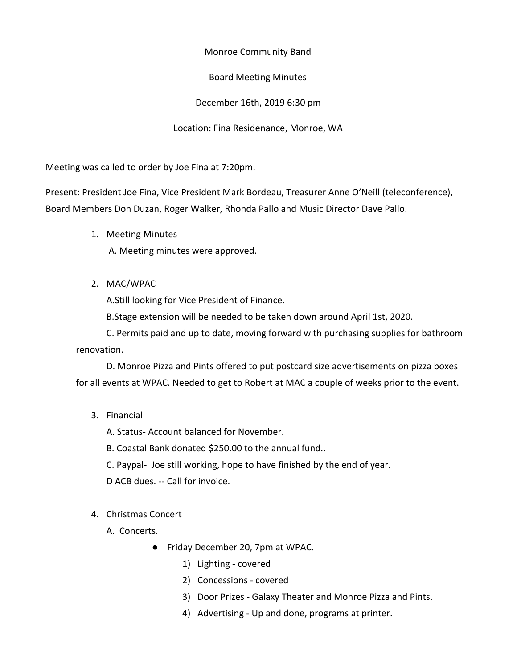Monroe Community Band

Board Meeting Minutes

December 16th, 2019 6:30 pm

Location: Fina Residenance, Monroe, WA

Meeting was called to order by Joe Fina at 7:20pm.

Present: President Joe Fina, Vice President Mark Bordeau, Treasurer Anne O'Neill (teleconference), Board Members Don Duzan, Roger Walker, Rhonda Pallo and Music Director Dave Pallo.

1. Meeting Minutes

A. Meeting minutes were approved.

2. MAC/WPAC

A.Still looking for Vice President of Finance.

B.Stage extension will be needed to be taken down around April 1st, 2020.

C. Permits paid and up to date, moving forward with purchasing supplies for bathroom renovation.

D. Monroe Pizza and Pints offered to put postcard size advertisements on pizza boxes for all events at WPAC. Needed to get to Robert at MAC a couple of weeks prior to the event.

3. Financial

A. Status- Account balanced for November.

B. Coastal Bank donated \$250.00 to the annual fund..

C. Paypal- Joe still working, hope to have finished by the end of year.

D ACB dues. -- Call for invoice.

- 4. Christmas Concert
	- A. Concerts.
		- Friday December 20, 7pm at WPAC.
			- 1) Lighting covered
			- 2) Concessions covered
			- 3) Door Prizes Galaxy Theater and Monroe Pizza and Pints.
			- 4) Advertising Up and done, programs at printer.